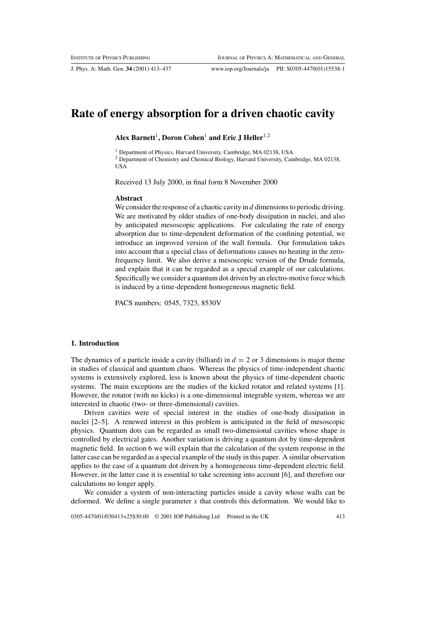J. Phys. A: Math. Gen. **34** (2001) 413–437 www.iop.org/Journals/ja PII: S0305-4470(01)15538-1

# **Rate of energy absorption for a driven chaotic cavity**

## Alex Barnett<sup>1</sup>, Doron Cohen<sup>1</sup> and Eric J Heller<sup>1,2</sup>

<sup>1</sup> Department of Physics, Harvard University, Cambridge, MA 02138, USA <sup>2</sup> Department of Chemistry and Chemical Biology, Harvard University, Cambridge, MA 02138, USA

Received 13 July 2000, in final form 8 November 2000

#### **Abstract**

We consider the response of a chaotic cavity in  $d$  dimensions to periodic driving. We are motivated by older studies of one-body dissipation in nuclei, and also by anticipated mesoscopic applications. For calculating the rate of energy absorption due to time-dependent deformation of the confining potential, we introduce an improved version of the wall formula. Our formulation takes into account that a special class of deformations causes no heating in the zerofrequency limit. We also derive a mesoscopic version of the Drude formula, and explain that it can be regarded as a special example of our calculations. Specifically we consider a quantum dot driven by an electro-motive force which is induced by a time-dependent homogeneous magnetic field.

PACS numbers: 0545, 7323, 8530V

#### **1. Introduction**

The dynamics of a particle inside a cavity (billiard) in  $d = 2$  or 3 dimensions is major theme in studies of classical and quantum chaos. Whereas the physics of time-independent chaotic systems is extensively explored, less is known about the physics of time-dependent chaotic systems. The main exceptions are the studies of the kicked rotator and related systems [1]. However, the rotator (with no kicks) is a one-dimensional integrable system, whereas we are interested in chaotic (two- or three-dimensional) cavities.

Driven cavities were of special interest in the studies of one-body dissipation in nuclei [2–5]. A renewed interest in this problem is anticipated in the field of mesoscopic physics. Quantum dots can be regarded as small two-dimensional cavities whose shape is controlled by electrical gates. Another variation is driving a quantum dot by time-dependent magnetic field. In section 6 we will explain that the calculation of the system response in the latter case can be regarded as a special example of the study in this paper. A similar observation applies to the case of a quantum dot driven by a homogeneous time-dependent electric field. However, in the latter case it is essential to take screening into account [6], and therefore our calculations no longer apply.

We consider a system of non-interacting particles inside a cavity whose walls can be deformed. We define a single parameter  $x$  that controls this deformation. We would like to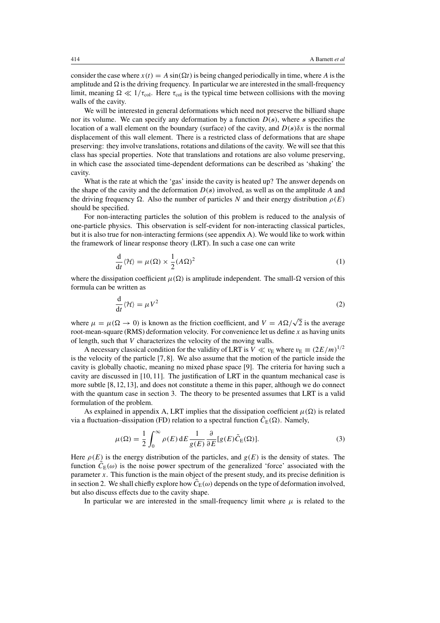consider the case where  $x(t) = A \sin(\Omega t)$  is being changed periodically in time, where A is the amplitude and  $\Omega$  is the driving frequency. In particular we are interested in the small-frequency limit, meaning  $\Omega \ll 1/\tau_{\text{col}}$ . Here  $\tau_{\text{col}}$  is the typical time between collisions with the moving walls of the cavity.

We will be interested in general deformations which need not preserve the billiard shape nor its volume. We can specify any deformation by a function D(*s*), where *s* specifies the location of a wall element on the boundary (surface) of the cavity, and  $D(s)\delta x$  is the normal displacement of this wall element. There is a restricted class of deformations that are shape preserving: they involve translations, rotations and dilations of the cavity. We will see that this class has special properties. Note that translations and rotations are also volume preserving, in which case the associated time-dependent deformations can be described as 'shaking' the cavity.

What is the rate at which the 'gas' inside the cavity is heated up? The answer depends on the shape of the cavity and the deformation  $D(s)$  involved, as well as on the amplitude A and the driving frequency  $\Omega$ . Also the number of particles N and their energy distribution  $\rho(E)$ should be specified.

For non-interacting particles the solution of this problem is reduced to the analysis of one-particle physics. This observation is self-evident for non-interacting classical particles, but it is also true for non-interacting fermions (see appendix A). We would like to work within the framework of linear response theory (LRT). In such a case one can write

$$
\frac{d}{dt}\langle \mathcal{H} \rangle = \mu(\Omega) \times \frac{1}{2} (A\Omega)^2
$$
 (1)

where the dissipation coefficient  $\mu(\Omega)$  is amplitude independent. The small- $\Omega$  version of this formula can be written as

$$
\frac{\mathrm{d}}{\mathrm{d}t} \langle \mathcal{H} \rangle = \mu V^2 \tag{2}
$$

where  $\mu = \mu(\Omega \to 0)$  is known as the friction coefficient, and  $V = A\Omega/\sqrt{2}$  is the average root-mean-square (RMS) deformation velocity. For convenience let us define  $x$  as having units of length, such that V characterizes the velocity of the moving walls.

A necessary classical condition for the validity of LRT is  $V \ll v_E$  where  $v_E \equiv (2E/m)^{1/2}$ is the velocity of the particle [7, 8]. We also assume that the motion of the particle inside the cavity is globally chaotic, meaning no mixed phase space [9]. The criteria for having such a cavity are discussed in [10, 11]. The justification of LRT in the quantum mechanical case is more subtle [8, 12, 13], and does not constitute a theme in this paper, although we do connect with the quantum case in section 3. The theory to be presented assumes that LRT is a valid formulation of the problem.

As explained in appendix A, LRT implies that the dissipation coefficient  $\mu(\Omega)$  is related via a fluctuation–dissipation (FD) relation to a spectral function  $\tilde{C}_E(\Omega)$ . Namely,

$$
\mu(\Omega) = \frac{1}{2} \int_0^\infty \rho(E) dE \frac{1}{g(E)} \frac{\partial}{\partial E} [g(E)\tilde{C}_E(\Omega)].
$$
\n(3)

Here  $\rho(E)$  is the energy distribution of the particles, and  $g(E)$  is the density of states. The function  $\tilde{C}_E(\omega)$  is the noise power spectrum of the generalized 'force' associated with the parameter  $x$ . This function is the main object of the present study, and its precise definition is in section 2. We shall chiefly explore how  $\tilde{C}_E(\omega)$  depends on the type of deformation involved, but also discuss effects due to the cavity shape.

In particular we are interested in the small-frequency limit where  $\mu$  is related to the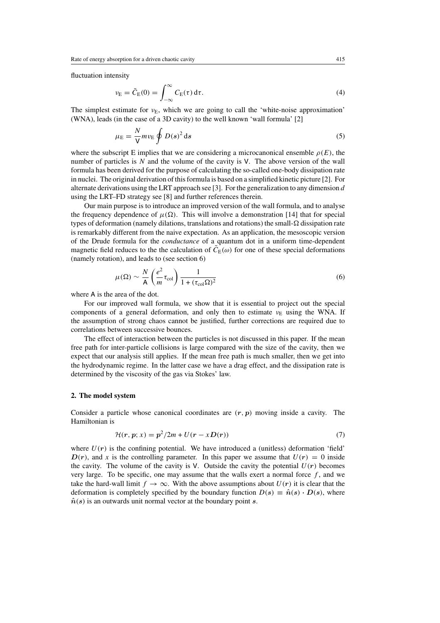fluctuation intensity

$$
\nu_{\rm E} = \tilde{C}_{\rm E}(0) = \int_{-\infty}^{\infty} C_{\rm E}(\tau) d\tau.
$$
\n(4)

The simplest estimate for  $v_{\text{E}}$ , which we are going to call the 'white-noise approximation' (WNA), leads (in the case of a 3D cavity) to the well known 'wall formula' [2]

$$
\mu_{\rm E} = \frac{N}{V} m v_{\rm E} \oint D(s)^2 \, \mathrm{d}s \tag{5}
$$

where the subscript E implies that we are considering a microcanonical ensemble  $\rho(E)$ , the number of particles is  $N$  and the volume of the cavity is  $V$ . The above version of the wall formula has been derived for the purpose of calculating the so-called one-body dissipation rate in nuclei. The original derivation of this formula is based on a simplified kinetic picture [2]. For alternate derivations using the LRT approach see [3]. For the generalization to any dimension  $d$ using the LRT–FD strategy see [8] and further references therein.

Our main purpose is to introduce an improved version of the wall formula, and to analyse the frequency dependence of  $\mu(\Omega)$ . This will involve a demonstration [14] that for special types of deformation (namely dilations, translations and rotations) the small- $\Omega$  dissipation rate is remarkably different from the naive expectation. As an application, the mesoscopic version of the Drude formula for the *conductance* of a quantum dot in a uniform time-dependent magnetic field reduces to the the calculation of  $\overline{C_{E}}(\omega)$  for one of these special deformations (namely rotation), and leads to (see section 6)

$$
\mu(\Omega) \sim \frac{N}{A} \left(\frac{e^2}{m} \tau_{\text{col}}\right) \frac{1}{1 + (\tau_{\text{col}} \Omega)^2} \tag{6}
$$

where A is the area of the dot.

For our improved wall formula, we show that it is essential to project out the special components of a general deformation, and only then to estimate  $v<sub>E</sub>$  using the WNA. If the assumption of strong chaos cannot be justified, further corrections are required due to correlations between successive bounces.

The effect of interaction between the particles is not discussed in this paper. If the mean free path for inter-particle collisions is large compared with the size of the cavity, then we expect that our analysis still applies. If the mean free path is much smaller, then we get into the hydrodynamic regime. In the latter case we have a drag effect, and the dissipation rate is determined by the viscosity of the gas via Stokes' law.

## **2. The model system**

Consider a particle whose canonical coordinates are  $(r, p)$  moving inside a cavity. The Hamiltonian is

$$
\mathcal{H}(r, p; x) = p^2/2m + U(r - xD(r))\tag{7}
$$

where  $U(r)$  is the confining potential. We have introduced a (unitless) deformation 'field'  $D(r)$ , and x is the controlling parameter. In this paper we assume that  $U(r) = 0$  inside the cavity. The volume of the cavity is V. Outside the cavity the potential  $U(r)$  becomes very large. To be specific, one may assume that the walls exert a normal force  $f$ , and we take the hard-wall limit  $f \to \infty$ . With the above assumptions about  $U(r)$  it is clear that the deformation is completely specified by the boundary function  $D(s) \equiv \hat{n}(s) \cdot D(s)$ , where  $\hat{n}(s)$  is an outwards unit normal vector at the boundary point *s*.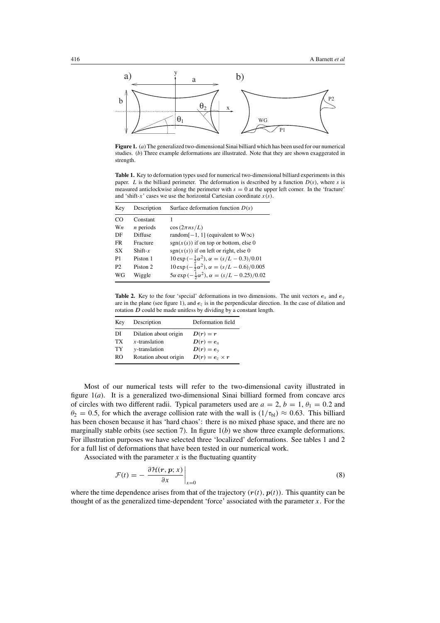

**Figure 1.** (*a*) The generalized two-dimensional Sinai billiard which has been used for our numerical studies. (*b*) Three example deformations are illustrated. Note that they are shown exaggerated in strength.

**Table 1.** Key to deformation types used for numerical two-dimensional billiard experiments in this paper. L is the billiard perimeter. The deformation is described by a function  $D(s)$ , where s is measured anticlockwise along the perimeter with  $s = 0$  at the upper left corner. In the 'fracture' and 'shift-x' cases we use the horizontal Cartesian coordinate  $x(s)$ .

| Key            | Description | Surface deformation function $D(s)$                                 |
|----------------|-------------|---------------------------------------------------------------------|
| $_{\rm CO}$    | Constant    |                                                                     |
| Wn             | $n$ periods | $\cos(2\pi n s/L)$                                                  |
| DF             | Diffuse     | random <sup><math>[-1, 1]</math></sup> (equivalent to $W\infty$ )   |
| <b>FR</b>      | Fracture    | $sgn(x(s))$ if on top or bottom, else 0                             |
| <b>SX</b>      | $Shift-x$   | $sgn(x(s))$ if on left or right, else 0                             |
| P <sub>1</sub> | Piston 1    | $10 \exp(-\frac{1}{2}\alpha^2)$ , $\alpha = (s/L - 0.3)/0.01$       |
| P2             | Piston 2    | $10 \exp(-\frac{1}{2}\alpha^2)$ , $\alpha = (s/L - 0.6)/0.005$      |
| WG             | Wiggle      | $5\alpha \exp(-\frac{1}{2}\alpha^2)$ , $\alpha = (s/L - 0.25)/0.02$ |

**Table 2.** Key to the four 'special' deformations in two dimensions. The unit vectors  $e_x$  and  $e_y$ are in the plane (see figure 1), and  $e_z$  is in the perpendicular direction. In the case of dilation and rotation *D* could be made unitless by dividing by a constant length.

| Key | Description           | Deformation field       |
|-----|-----------------------|-------------------------|
| DI  | Dilation about origin | $D(r)=r$                |
| TX  | $x$ -translation      | $D(r) = e_x$            |
| TY  | y-translation         | $D(r) = e_v$            |
| RO  | Rotation about origin | $D(r) = e_{7} \times r$ |

Most of our numerical tests will refer to the two-dimensional cavity illustrated in figure 1(*a*). It is a generalized two-dimensional Sinai billiard formed from concave arcs of circles with two different radii. Typical parameters used are  $a = 2$ ,  $b = 1$ ,  $\theta_1 = 0.2$  and  $\theta_2 = 0.5$ , for which the average collision rate with the wall is  $(1/\tau_{bl}) \approx 0.63$ . This billiard has been chosen because it has 'hard chaos': there is no mixed phase space, and there are no marginally stable orbits (see section 7). In figure 1(*b*) we show three example deformations. For illustration purposes we have selected three 'localized' deformations. See tables 1 and 2 for a full list of deformations that have been tested in our numerical work.

Associated with the parameter  $x$  is the fluctuating quantity

$$
\mathcal{F}(t) = -\left. \frac{\partial \mathcal{H}(r, p; x)}{\partial x} \right|_{x=0} \tag{8}
$$

where the time dependence arises from that of the trajectory  $(r(t), p(t))$ . This quantity can be thought of as the generalized time-dependent 'force' associated with the parameter  $x$ . For the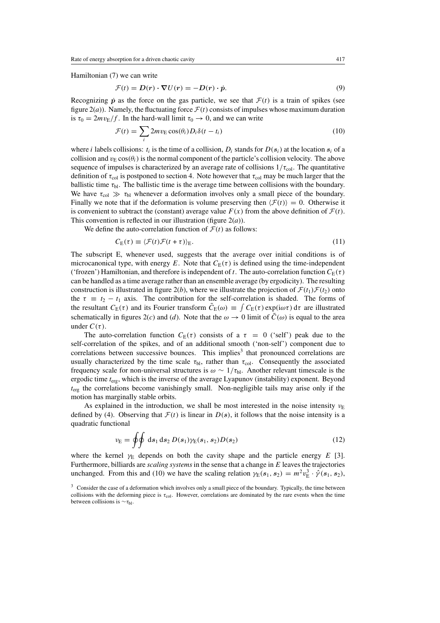Hamiltonian (7) we can write

$$
\mathcal{F}(t) = D(r) \cdot \nabla U(r) = -D(r) \cdot \dot{p}.
$$
\n(9)

Recognizing  $\dot{p}$  as the force on the gas particle, we see that  $\mathcal{F}(t)$  is a train of spikes (see figure  $2(a)$ ). Namely, the fluctuating force  $\mathcal{F}(t)$  consists of impulses whose maximum duration is  $\tau_0 = 2mv_E/f$ . In the hard-wall limit  $\tau_0 \to 0$ , and we can write

$$
\mathcal{F}(t) = \sum_{i} 2mv_{\rm E}\cos(\theta_i)D_i\delta(t - t_i)
$$
\n(10)

where i labels collisions:  $t_i$  is the time of a collision,  $D_i$  stands for  $D(s_i)$  at the location  $s_i$  of a collision and  $v_{\rm E}$  cos( $\theta_i$ ) is the normal component of the particle's collision velocity. The above sequence of impulses is characterized by an average rate of collisions  $1/\tau_{\text{col}}$ . The quantitative definition of  $\tau_{\text{col}}$  is postponed to section 4. Note however that  $\tau_{\text{col}}$  may be much larger that the ballistic time  $\tau_{\rm bl}$ . The ballistic time is the average time between collisions with the boundary. We have  $\tau_{\text{col}} \gg \tau_{\text{bl}}$  whenever a deformation involves only a small piece of the boundary. Finally we note that if the deformation is volume preserving then  $\langle \mathcal{F}(t) \rangle = 0$ . Otherwise it is convenient to subtract the (constant) average value  $F(x)$  from the above definition of  $\mathcal{F}(t)$ . This convention is reflected in our illustration (figure  $2(a)$ ).

We define the auto-correlation function of  $\mathcal{F}(t)$  as follows:

$$
C_{\mathcal{E}}(\tau) \equiv \langle \mathcal{F}(t)\mathcal{F}(t+\tau) \rangle_{\mathcal{E}}.\tag{11}
$$

The subscript E, whenever used, suggests that the average over initial conditions is of microcanonical type, with energy E. Note that  $C_{E}(\tau)$  is defined using the time-independent ('frozen') Hamiltonian, and therefore is independent of t. The auto-correlation function  $C_{E}(\tau)$ can be handled as a time average rather than an ensemble average (by ergodicity). The resulting construction is illustrated in figure 2(*b*), where we illustrate the projection of  $\mathcal{F}(t_1)\mathcal{F}(t_2)$  onto the  $\tau \equiv t_2 - t_1$  axis. The contribution for the self-correlation is shaded. The forms of the resultant  $C_E(\tau)$  and its Fourier transform  $\tilde{C}_E(\omega) \equiv \int C_E(\tau) \exp(i\omega \tau) d\tau$  are illustrated schematically in figures 2(*c*) and (*d*). Note that the  $\omega \to 0$  limit of  $\tilde{C}(\omega)$  is equal to the area under  $C(\tau)$ .

The auto-correlation function  $C_{\rm E}(\tau)$  consists of a  $\tau = 0$  ('self') peak due to the self-correlation of the spikes, and of an additional smooth ('non-self') component due to correlations between successive bounces. This implies<sup>3</sup> that pronounced correlations are usually characterized by the time scale  $\tau_{bl}$ , rather than  $\tau_{col}$ . Consequently the associated frequency scale for non-universal structures is  $\omega \sim 1/\tau_{\text{bl}}$ . Another relevant timescale is the ergodic time  $t_{\text{erg}}$ , which is the inverse of the average Lyapunov (instability) exponent. Beyond  $t_{\text{erg}}$  the correlations become vanishingly small. Non-negligible tails may arise only if the motion has marginally stable orbits.

As explained in the introduction, we shall be most interested in the noise intensity  $v<sub>E</sub>$ defined by (4). Observing that  $\mathcal{F}(t)$  is linear in  $D(s)$ , it follows that the noise intensity is a quadratic functional

$$
\nu_{\rm E} = \oint \oint \mathrm{d}s_1 \, \mathrm{d}s_2 \, D(s_1) \gamma_{\rm E}(s_1, s_2) D(s_2) \tag{12}
$$

where the kernel  $\gamma_E$  depends on both the cavity shape and the particle energy E [3]. Furthermore, billiards are *scaling systems* in the sense that a change in E leaves the trajectories unchanged. From this and (10) we have the scaling relation  $\gamma_E(s_1, s_2) = m^2 v_E^3 \cdot \hat{\gamma}(s_1, s_2)$ ,

<sup>&</sup>lt;sup>3</sup> Consider the case of a deformation which involves only a small piece of the boundary. Typically, the time between collisions with the deforming piece is  $\tau_{\text{col}}$ . However, correlations are dominated by the rare events when the time between collisions is  $\sim \tau_{\text{bl}}$ .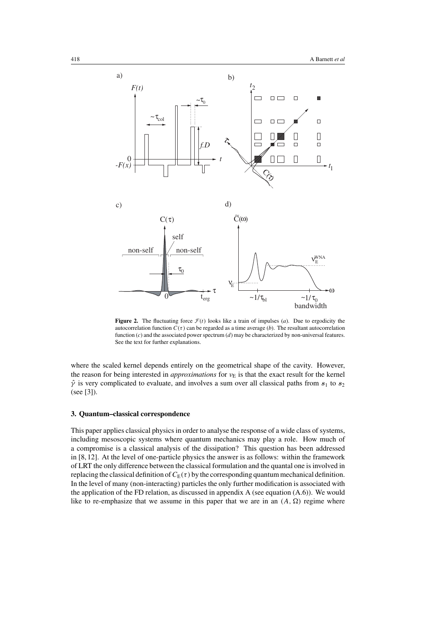

**Figure 2.** The fluctuating force  $\mathcal{F}(t)$  looks like a train of impulses (*a*). Due to ergodicity the autocorrelation function  $C(\tau)$  can be regarded as a time average (*b*). The resultant autocorrelation function (*c*) and the associated power spectrum (*d*) may be characterized by non-universal features. See the text for further explanations.

where the scaled kernel depends entirely on the geometrical shape of the cavity. However, the reason for being interested in *approximations* for ν<sub>E</sub> is that the exact result for the kernel  $\hat{\gamma}$  is very complicated to evaluate, and involves a sum over all classical paths from  $s_1$  to  $s_2$ (see [3]).

# **3. Quantum–classical correspondence**

This paper applies classical physics in order to analyse the response of a wide class of systems, including mesoscopic systems where quantum mechanics may play a role. How much of a compromise is a classical analysis of the dissipation? This question has been addressed in [8, 12]. At the level of one-particle physics the answer is as follows: within the framework of LRT the only difference between the classical formulation and the quantal one is involved in replacing the classical definition of  $C_E(\tau)$  by the corresponding quantum mechanical definition. In the level of many (non-interacting) particles the only further modification is associated with the application of the FD relation, as discussed in appendix A (see equation (A.6)). We would like to re-emphasize that we assume in this paper that we are in an  $(A, \Omega)$  regime where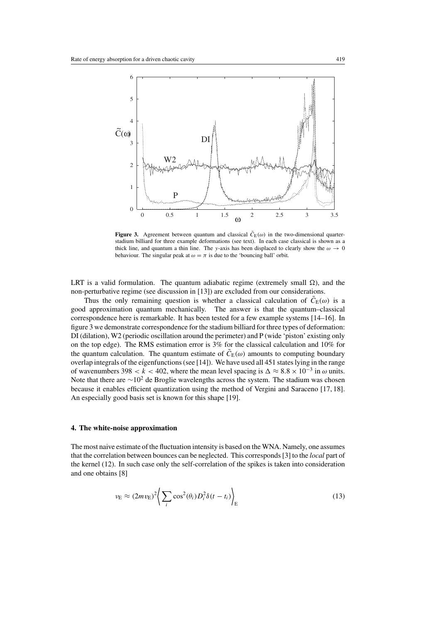

**Figure 3.** Agreement between quantum and classical  $\tilde{C}_E(\omega)$  in the two-dimensional quarterstadium billiard for three example deformations (see text). In each case classical is shown as a thick line, and quantum a thin line. The y-axis has been displaced to clearly show the  $\omega \to 0$ behaviour. The singular peak at  $\omega = \pi$  is due to the 'bouncing ball' orbit.

LRT is a valid formulation. The quantum adiabatic regime (extremely small  $\Omega$ ), and the non-perturbative regime (see discussion in [13]) are excluded from our considerations.

Thus the only remaining question is whether a classical calculation of  $\tilde{C}_E(\omega)$  is a good approximation quantum mechanically. The answer is that the quantum–classical correspondence here is remarkable. It has been tested for a few example systems [14–16]. In figure 3 we demonstrate correspondence for the stadium billiard for three types of deformation: DI (dilation), W2 (periodic oscillation around the perimeter) and P (wide 'piston' existing only on the top edge). The RMS estimation error is 3% for the classical calculation and 10% for the quantum calculation. The quantum estimate of  $\tilde{C}_E(\omega)$  amounts to computing boundary overlap integrals of the eigenfunctions (see [14]). We have used all 451 states lying in the range of wavenumbers 398 < k < 402, where the mean level spacing is  $\Delta \approx 8.8 \times 10^{-3}$  in  $\omega$  units. Note that there are  $\sim$ 10<sup>2</sup> de Broglie wavelengths across the system. The stadium was chosen because it enables efficient quantization using the method of Vergini and Saraceno [17, 18]. An especially good basis set is known for this shape [19].

## **4. The white-noise approximation**

The most naive estimate of the fluctuation intensity is based on the WNA. Namely, one assumes that the correlation between bounces can be neglected. This corresponds [3] to the *local* part of the kernel (12). In such case only the self-correlation of the spikes is taken into consideration and one obtains [8]

$$
\nu_{\rm E} \approx (2mv_{\rm E})^2 \bigg\langle \sum_i \cos^2(\theta_i) D_i^2 \delta(t - t_i) \bigg\rangle_{\rm E}
$$
 (13)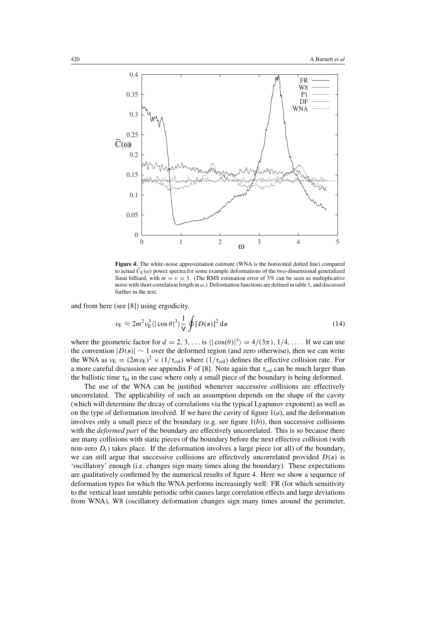

**Figure 4.** The white-noise approximation estimate (WNA is the horizontal dotted line) compared to actual  $\bar{C}_{E}(\omega)$  power spectra for some example deformations of the two-dimensional generalized Sinai billiard, with  $m = v = 1$ . (The RMS estimation error of 3% can be seen as multiplicative noise with short correlation length in  $\omega$ .) Deformation functions are defined in table 1, and discussed further in the text.

and from here (see [8]) using ergodicity,

$$
\nu_{\rm E} \approx 2m^2 v_{\rm E}^3 \langle |\cos \theta|^3 \rangle \frac{1}{V} \oint [D(s)]^2 ds \tag{14}
$$

where the geometric factor for  $d = 2, 3, \ldots$  is  $\langle |\cos(\theta)|^3 \rangle = 4/(3\pi), 1/4, \ldots$  If we can use the convention  $|D(s)| \sim 1$  over the deformed region (and zero otherwise), then we can write the WNA as  $v_E = (2mv_E)^2 \times (1/\tau_{col})$  where  $(1/\tau_{col})$  defines the effective collision rate. For a more careful discussion see appendix F of [8]. Note again that  $\tau_{\text{col}}$  can be much larger than the ballistic time  $\tau_{bl}$  in the case where only a small piece of the boundary is being deformed.

The use of the WNA can be justified whenever successive collisions are effectively uncorrelated. The applicability of such an assumption depends on the shape of the cavity (which will determine the decay of correlations via the typical Lyapunov exponent) as well as on the type of deformation involved. If we have the cavity of figure  $1(a)$ , and the deformation involves only a small piece of the boundary (e.g. see figure  $1(b)$ ), then successive collisions with the *deformed part* of the boundary are effectively uncorrelated. This is so because there are many collisions with static pieces of the boundary before the next effective collision (with non-zero  $D_i$ ) takes place. If the deformation involves a large piece (or all) of the boundary, we can still argue that successive collisions are effectively uncorrelated provided  $D(s)$  is 'oscillatory' enough (i.e. changes sign many times along the boundary). These expectations are qualitatively confirmed by the numerical results of figure 4. Here we show a sequence of deformation types for which the WNA performs increasingly well: FR (for which sensitivity to the vertical least unstable periodic orbit causes large correlation effects and large deviations from WNA), W8 (oscillatory deformation changes sign many times around the perimeter,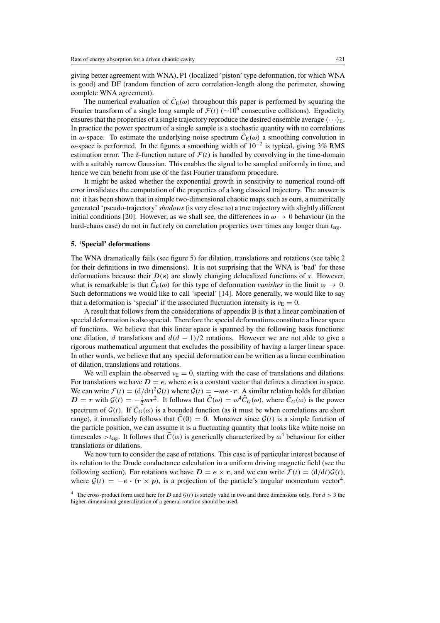giving better agreement with WNA), P1 (localized 'piston' type deformation, for which WNA is good) and DF (random function of zero correlation-length along the perimeter, showing complete WNA agreement).

The numerical evaluation of  $\tilde{C}_{E}(\omega)$  throughout this paper is performed by squaring the Fourier transform of a single long sample of  $\mathcal{F}(t)$  (∼10<sup>6</sup> consecutive collisions). Ergodicity ensures that the properties of a single trajectory reproduce the desired ensemble average  $\langle \cdots \rangle_{E}$ . In practice the power spectrum of a single sample is a stochastic quantity with no correlations in  $\omega$ -space. To estimate the underlying noise spectrum  $C_E(\omega)$  a smoothing convolution in ω-space is performed. In the figures a smoothing width of  $10^{-2}$  is typical, giving 3% RMS estimation error. The  $\delta$ -function nature of  $\mathcal{F}(t)$  is handled by convolving in the time-domain with a suitably narrow Gaussian. This enables the signal to be sampled uniformly in time, and hence we can benefit from use of the fast Fourier transform procedure.

It might be asked whether the exponential growth in sensitivity to numerical round-off error invalidates the computation of the properties of a long classical trajectory. The answer is no: it has been shown that in simple two-dimensional chaotic maps such as ours, a numerically generated 'pseudo-trajectory'*shadows*(is very close to) a true trajectory with slightly different initial conditions [20]. However, as we shall see, the differences in  $\omega \to 0$  behaviour (in the hard-chaos case) do not in fact rely on correlation properties over times any longer than  $t_{\text{erg}}$ .

#### **5. 'Special' deformations**

The WNA dramatically fails (see figure 5) for dilation, translations and rotations (see table 2 for their definitions in two dimensions). It is not surprising that the WNA is 'bad' for these deformations because their D(*s*) are slowly changing delocalized functions of s. However, what is remarkable is that  $\tilde{C}_E(\omega)$  for this type of deformation *vanishes* in the limit  $\omega \to 0$ . Such deformations we would like to call 'special' [14]. More generally, we would like to say that a deformation is 'special' if the associated fluctuation intensity is  $v<sub>E</sub> = 0$ .

A result that follows from the considerations of appendix B is that a linear combination of special deformation is also special. Therefore the special deformations constitute a linear space of functions. We believe that this linear space is spanned by the following basis functions: one dilation, d translations and  $d(d - 1)/2$  rotations. However we are not able to give a rigorous mathematical argument that excludes the possibility of having a larger linear space. In other words, we believe that any special deformation can be written as a linear combination of dilation, translations and rotations.

We will explain the observed  $v_{\rm E} = 0$ , starting with the case of translations and dilations. For translations we have  $D = e$ , where  $e$  is a constant vector that defines a direction in space. We can write  $\mathcal{F}(t) = (d/dt)^2 \mathcal{G}(t)$  where  $\mathcal{G}(t) = -me \cdot r$ . A similar relation holds for dilation  $D = r$  with  $\mathcal{G}(t) = -\frac{1}{2}mr^2$ . It follows that  $\tilde{C}(\omega) = \omega^4 \tilde{C}_G(\omega)$ , where  $\tilde{C}_G(\omega)$  is the power spectrum of  $\mathcal{G}(t)$ . If  $\tilde{C}_G(\omega)$  is a bounded function (as it must be when correlations are short range), it immediately follows that  $\tilde{C}(0) = 0$ . Moreover since  $\mathcal{G}(t)$  is a simple function of the particle position, we can assume it is a fluctuating quantity that looks like white noise on timescales  $>t_{\text{erg}}$ . It follows that  $\tilde{C}(\omega)$  is generically characterized by  $\omega^4$  behaviour for either translations or dilations.

We now turn to consider the case of rotations. This case is of particular interest because of its relation to the Drude conductance calculation in a uniform driving magnetic field (see the following section). For rotations we have  $D = e \times r$ , and we can write  $\mathcal{F}(t) = (d/dt)\mathcal{G}(t)$ , where  $G(t) = -e \cdot (r \times p)$ , is a projection of the particle's angular momentum vector<sup>4</sup>.

<sup>&</sup>lt;sup>4</sup> The cross-product form used here for *D* and  $G(t)$  is strictly valid in two and three dimensions only. For  $d > 3$  the higher-dimensional generalization of a general rotation should be used.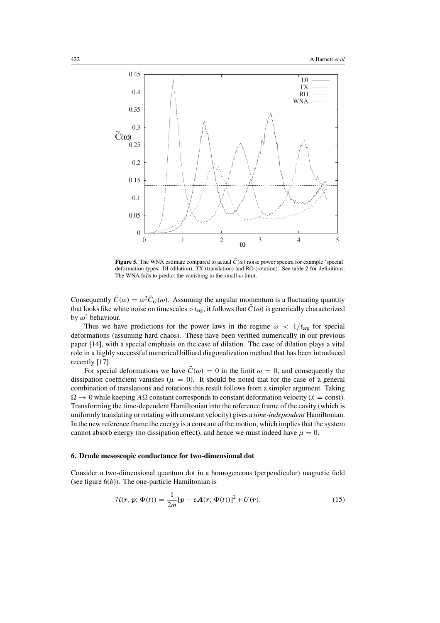

**Figure 5.** The WNA estimate compared to actual  $\tilde{C}(\omega)$  noise power spectra for example 'special' deformation types: DI (dilation), TX (translation) and RO (rotation). See table 2 for definitions. The WNA fails to predict the vanishing in the small- $\omega$  limit.

Consequently  $\tilde{C}(\omega) = \omega^2 \tilde{C}_G(\omega)$ . Assuming the angular momentum is a fluctuating quantity that looks like white noise on timescales  $>t_{\text{erg}}$ , it follows that  $\tilde{C}(\omega)$  is generically characterized by  $\omega^2$  behaviour.

Thus we have predictions for the power laws in the regime  $\omega < 1/t_{\text{erg}}$  for special deformations (assuming hard chaos). These have been verified numerically in our previous paper [14], with a special emphasis on the case of dilation. The case of dilation plays a vital role in a highly successful numerical billiard diagonalization method that has been introduced recently [17].

For special deformations we have  $\tilde{C}(\omega) = 0$  in the limit  $\omega = 0$ , and consequently the dissipation coefficient vanishes ( $\mu = 0$ ). It should be noted that for the case of a general combination of translations and rotations this result follows from a simpler argument. Taking  $\Omega \to 0$  while keeping  $A\Omega$  constant corresponds to constant deformation velocity ( $\dot{x} = \text{const}$ ). Transforming the time-dependent Hamiltonian into the reference frame of the cavity (which is uniformly translating or rotating with constant velocity) gives a *time-independent* Hamiltonian. In the new reference frame the energy is a constant of the motion, which implies that the system cannot absorb energy (no dissipation effect), and hence we must indeed have  $\mu = 0$ .

## **6. Drude mesoscopic conductance for two-dimensional dot**

Consider a two-dimensional quantum dot in a homogeneous (perpendicular) magnetic field (see figure  $6(b)$ ). The one-particle Hamiltonian is

$$
\mathcal{H}(\mathbf{r}, \mathbf{p}; \Phi(t)) = \frac{1}{2m} [\mathbf{p} - e\mathbf{A}(\mathbf{r}; \Phi(t))]^2 + U(\mathbf{r}).
$$
\n(15)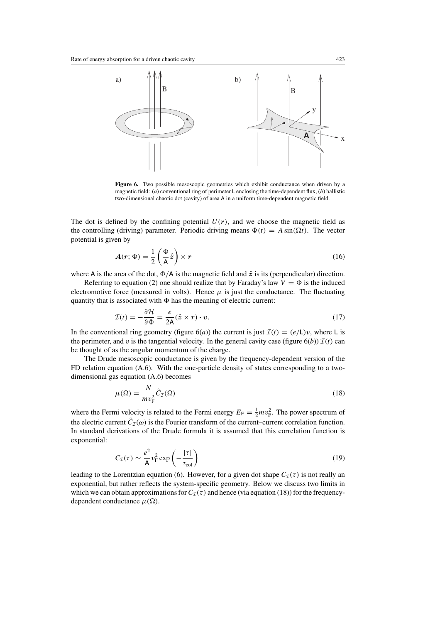

**Figure 6.** Two possible mesoscopic geometries which exhibit conductance when driven by a magnetic field: (*a*) conventional ring of perimeter L enclosing the time-dependent flux, (*b*) ballistic two-dimensional chaotic dot (cavity) of area A in a uniform time-dependent magnetic field.

The dot is defined by the confining potential  $U(r)$ , and we choose the magnetic field as the controlling (driving) parameter. Periodic driving means  $\Phi(t) = A \sin(\Omega t)$ . The vector potential is given by

$$
A(r; \Phi) = \frac{1}{2} \left( \frac{\Phi}{A} \hat{z} \right) \times r \tag{16}
$$

where A is the area of the dot,  $\Phi/A$  is the magnetic field and  $\hat{z}$  is its (perpendicular) direction.

Referring to equation (2) one should realize that by Faraday's law  $V = \dot{\Phi}$  is the induced electromotive force (measured in volts). Hence  $\mu$  is just the conductance. The fluctuating quantity that is associated with  $\Phi$  has the meaning of electric current:

$$
\mathcal{I}(t) = -\frac{\partial \mathcal{H}}{\partial \Phi} = \frac{e}{2\mathsf{A}} (\hat{\mathsf{z}} \times \mathsf{r}) \cdot \mathsf{v}.
$$
 (17)

In the conventional ring geometry (figure 6(*a*)) the current is just  $\mathcal{I}(t) = (e/L)v$ , where L is the perimeter, and v is the tangential velocity. In the general cavity case (figure  $6(b)$ )  $\mathcal{I}(t)$  can be thought of as the angular momentum of the charge.

The Drude mesoscopic conductance is given by the frequency-dependent version of the FD relation equation (A.6). With the one-particle density of states corresponding to a twodimensional gas equation (A.6) becomes

$$
\mu(\Omega) = \frac{N}{m v_{\rm F}^2} \tilde{C}_{\mathcal{I}}(\Omega)
$$
\n(18)

where the Fermi velocity is related to the Fermi energy  $E_F = \frac{1}{2} m v_F^2$ . The power spectrum of the electric current  $\tilde{C}_I(\omega)$  is the Fourier transform of the current–current correlation function. In standard derivations of the Drude formula it is assumed that this correlation function is exponential:

$$
C_{\mathcal{I}}(\tau) \sim \frac{e^2}{\mathsf{A}} v_{\rm F}^2 \exp\left(-\frac{|\tau|}{\tau_{\rm col}}\right) \tag{19}
$$

leading to the Lorentzian equation (6). However, for a given dot shape  $C_{\mathcal{I}}(\tau)$  is not really an exponential, but rather reflects the system-specific geometry. Below we discuss two limits in which we can obtain approximations for  $C_{\mathcal{I}}(\tau)$  and hence (via equation (18)) for the frequencydependent conductance  $\mu(\Omega)$ .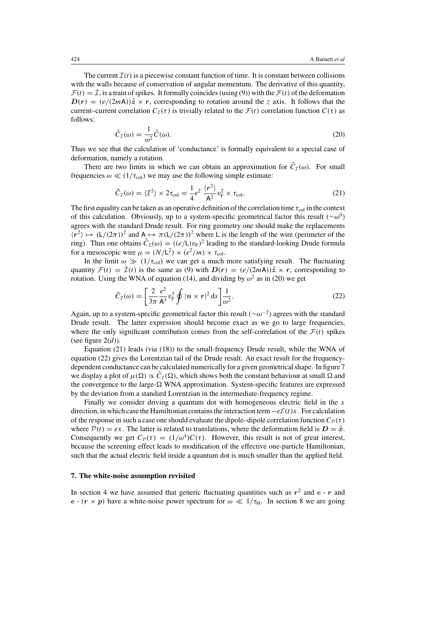The current  $\mathcal{I}(t)$  is a piecewise constant function of time. It is constant between collisions with the walls because of conservation of angular momentum. The derivative of this quantity,  $\mathcal{F}(t) = \mathcal{I}$ , is a train of spikes. It formally coincides (using (9)) with the  $\mathcal{F}(t)$  of the deformation  $D(r) = (e/(2mA))\hat{z} \times r$ , corresponding to rotation around the z axis. It follows that the current–current correlation  $C_{\tau}(\tau)$  is trivially related to the  $\mathcal{F}(t)$  correlation function  $C(\tau)$  as follows:

$$
\tilde{C}_{\mathcal{I}}(\omega) = \frac{1}{\omega^2} \tilde{C}(\omega).
$$
\n(20)

Thus we see that the calculation of 'conductance' is formally equivalent to a special case of deformation, namely a rotation.

There are two limits in which we can obtain an approximation for  $\tilde{C}_I(\omega)$ . For small frequencies  $\omega \ll (1/\tau_{\text{col}})$  we may use the following simple estimate:

$$
\tilde{C}_{\mathcal{I}}(\omega) = \langle \mathcal{I}^2 \rangle \times 2\tau_{\text{col}} = \frac{1}{4} e^2 \frac{\langle r^2 \rangle}{A^2} v_{\text{F}}^2 \times \tau_{\text{col}}.
$$
\n(21)

The first equality can be taken as an operative definition of the correlation time  $\tau_{\text{col}}$  in the context of this calculation. Obviously, up to a system-specific geometrical factor this result ( $~\sim \omega^0$ ) agrees with the standard Drude result. For ring geometry one should make the replacements  $\langle r^2 \rangle \mapsto (L/(2\pi))^2$  and  $A \mapsto \pi (L/(2\pi))^2$  where L is the length of the wire (perimeter of the ring). Thus one obtains  $\tilde{C}_{\mathcal{I}}(\omega) = ((e/L)v_F)^2$  leading to the standard-looking Drude formula for a mesoscopic wire  $\mu = (N/L^2) \times (e^2/m) \times \tau_{\text{col}}$ .

In the limit  $\omega \gg (1/\tau_{\text{col}})$  we can get a much more satisfying result. The fluctuating quantity  $\mathcal{F}(t) = \mathcal{I}(t)$  is the same as (9) with  $\mathbf{D}(r) = (e/(2m\mathbf{A}))\hat{z} \times r$ , corresponding to rotation. Using the WNA of equation (14), and dividing by  $\omega^2$  as in (20) we get

$$
\tilde{C}_{\mathcal{I}}(\omega) = \left[\frac{2}{3\pi} \frac{e^2}{\mathsf{A}^3} v_{\mathrm{F}}^3 \oint |\mathbf{n} \times \mathbf{r}|^2 \,\mathrm{d}s\right] \frac{1}{\omega^2}.\tag{22}
$$

Again, up to a system-specific geometrical factor this result ( $\sim \omega^{-2}$ ) agrees with the standard Drude result. The latter expression should become exact as we go to large frequencies, where the only significant contribution comes from the self-correlation of the  $\mathcal{F}(t)$  spikes (see figure  $2(d)$ ).

Equation (21) leads (via (18)) to the small-frequency Drude result, while the WNA of equation (22) gives the Lorentzian tail of the Drude result. An exact result for the frequencydependent conductance can be calculated numerically for a given geometrical shape. In figure 7 we display a plot of  $\mu(\Omega) \propto C_{\tau}(\Omega)$ , which shows both the constant behaviour at small  $\Omega$  and the convergence to the large- $\Omega$  WNA approximation. System-specific features are expressed by the deviation from a standard Lorentzian in the intermediate-frequency regime.

Finally we consider driving a quantum dot with homogeneous electric field in the  $x$ direction, in which case the Hamiltonian contains the interaction term  $-eE(t)x$ . For calculation of the response in such a case one should evaluate the dipole–dipole correlation function  $C_{\mathcal{P}}(\tau)$ where  $P(t) = e^x$ . The latter is related to translations, where the deformation field is  $D = \hat{x}$ . Consequently we get  $C_{\mathcal{P}}(\tau) = (1/\omega^4)C(\tau)$ . However, this result is not of great interest, because the screening effect leads to modification of the effective one-particle Hamiltonian, such that the actual electric field inside a quantum dot is much smaller than the applied field.

#### **7. The white-noise assumption revisited**

In section 4 we have assumed that generic fluctuating quantities such as  $r^2$  and  $e \cdot r$  and  $e \cdot (r \times p)$  have a white-noise power spectrum for  $\omega \ll 1/\tau_{bl}$ . In section 8 we are going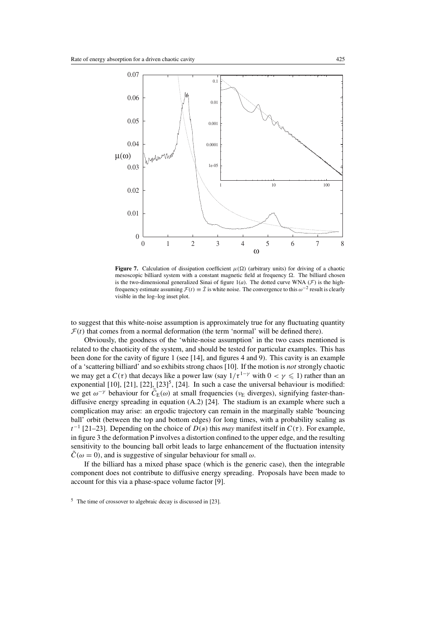

**Figure 7.** Calculation of dissipation coefficient  $\mu(\Omega)$  (arbitrary units) for driving of a chaotic mesoscopic billiard system with a constant magnetic field at frequency  $\Omega$ . The billiard chosen is the two-dimensional generalized Sinai of figure  $1(a)$ . The dotted curve WNA ( $\mathcal{F}$ ) is the highfrequency estimate assuming  $\mathcal{F}(t) \equiv \dot{\mathcal{I}}$  is white noise. The convergence to this  $\omega^{-2}$  result is clearly visible in the log–log inset plot.

to suggest that this white-noise assumption is approximately true for any fluctuating quantity  $F(t)$  that comes from a normal deformation (the term 'normal' will be defined there).

Obviously, the goodness of the 'white-noise assumption' in the two cases mentioned is related to the chaoticity of the system, and should be tested for particular examples. This has been done for the cavity of figure 1 (see [14], and figures 4 and 9). This cavity is an example of a 'scattering billiard' and so exhibits strong chaos [10]. If the motion is *not* strongly chaotic we may get a  $C(\tau)$  that decays like a power law (say  $1/\tau^{1-\gamma}$  with  $0 < \gamma \leq 1$ ) rather than an exponential  $[10]$ ,  $[21]$ ,  $[22]$ ,  $[23]$ <sup>5</sup>,  $[24]$ . In such a case the universal behaviour is modified: we get  $\omega^{-\gamma}$  behaviour for  $\tilde{C}_E(\omega)$  at small frequencies ( $\nu_E$  diverges), signifying faster-thandiffusive energy spreading in equation (A.2) [24]. The stadium is an example where such a complication may arise: an ergodic trajectory can remain in the marginally stable 'bouncing ball' orbit (between the top and bottom edges) for long times, with a probability scaling as  $t^{-1}$  [21–23]. Depending on the choice of  $D(s)$  this *may* manifest itself in  $C(\tau)$ . For example, in figure 3 the deformation P involves a distortion confined to the upper edge, and the resulting sensitivity to the bouncing ball orbit leads to large enhancement of the fluctuation intensity  $C(\omega = 0)$ , and is suggestive of singular behaviour for small  $\omega$ .

If the billiard has a mixed phase space (which is the generic case), then the integrable component does not contribute to diffusive energy spreading. Proposals have been made to account for this via a phase-space volume factor [9].

<sup>5</sup> The time of crossover to algebraic decay is discussed in [23].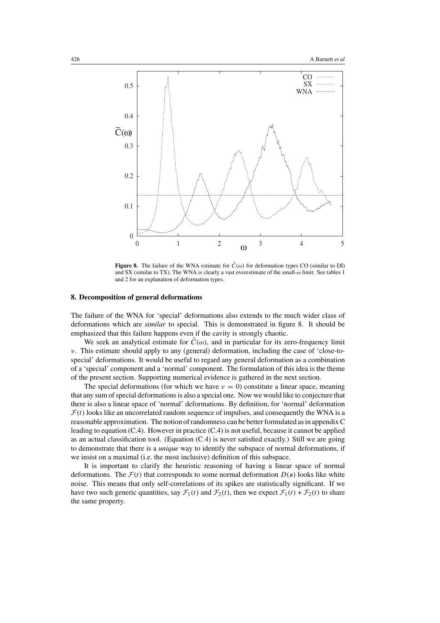

**Figure 8.** The failure of the WNA estimate for  $\tilde{C}(\omega)$  for deformation types CO (similar to DI) and SX (similar to TX). The WNA is clearly a vast overestimate of the small-ω limit. See tables 1 and 2 for an explanation of deformation types.

#### **8. Decomposition of general deformations**

The failure of the WNA for 'special' deformations also extends to the much wider class of deformations which are *similar* to special. This is demonstrated in figure 8. It should be emphasized that this failure happens even if the cavity is strongly chaotic.

We seek an analytical estimate for  $\tilde{C}(\omega)$ , and in particular for its zero-frequency limit ν. This estimate should apply to any (general) deformation, including the case of 'close-tospecial' deformations. It would be useful to regard any general deformation as a combination of a 'special' component and a 'normal' component. The formulation of this idea is the theme of the present section. Supporting numerical evidence is gathered in the next section.

The special deformations (for which we have  $v = 0$ ) constitute a linear space, meaning that any sum of special deformations is also a special one. Now we would like to conjecture that there is also a linear space of 'normal' deformations. By definition, for 'normal' deformation  $F(t)$  looks like an uncorrelated random sequence of impulses, and consequently the WNA is a reasonable approximation. The notion of randomness can be better formulated as in appendix C leading to equation (C.4). However in practice (C.4) is not useful, because it cannot be applied as an actual classification tool. (Equation (C.4) is never satisfied exactly.) Still we are going to demonstrate that there is a *unique* way to identify the subspace of normal deformations, if we insist on a maximal (i.e. the most inclusive) definition of this subspace.

It is important to clarify the heuristic reasoning of having a linear space of normal deformations. The  $\mathcal{F}(t)$  that corresponds to some normal deformation  $D(s)$  looks like white noise. This means that only self-correlations of its spikes are statistically significant. If we have two such generic quantities, say  $\mathcal{F}_1(t)$  and  $\mathcal{F}_2(t)$ , then we expect  $\mathcal{F}_1(t) + \mathcal{F}_2(t)$  to share the same property.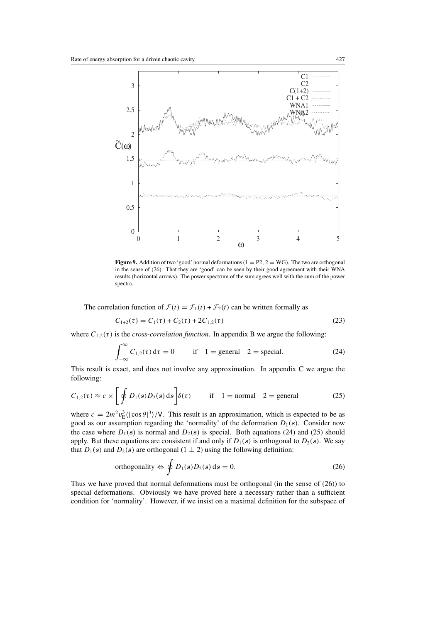

**Figure 9.** Addition of two 'good' normal deformations ( $1 = P2$ ,  $2 = WG$ ). The two are orthogonal in the sense of (26). That they are 'good' can be seen by their good agreement with their WNA results (horizontal arrows). The power spectrum of the sum agrees well with the sum of the power spectra.

The correlation function of  $\mathcal{F}(t) = \mathcal{F}_1(t) + \mathcal{F}_2(t)$  can be written formally as

$$
C_{1+2}(\tau) = C_1(\tau) + C_2(\tau) + 2C_{1,2}(\tau)
$$
\n(23)

where  $C_{1,2}(\tau)$  is the *cross-correlation function*. In appendix B we argue the following:

$$
\int_{-\infty}^{\infty} C_{1,2}(\tau) d\tau = 0 \qquad \text{if} \quad 1 = \text{general} \quad 2 = \text{special.} \tag{24}
$$

This result is exact, and does not involve any approximation. In appendix C we argue the following:

$$
C_{1,2}(\tau) \approx c \times \left[ \oint D_1(s) D_2(s) \, \mathrm{d}s \right] \delta(\tau) \qquad \text{if} \quad 1 = \text{normal} \quad 2 = \text{general} \tag{25}
$$

where  $c = 2m^2 v_{\rm E}^3 \langle |\cos \theta|^3 \rangle / V$ . This result is an approximation, which is expected to be as good as our assumption regarding the 'normality' of the deformation  $D_1(s)$ . Consider now the case where  $D_1(s)$  is normal and  $D_2(s)$  is special. Both equations (24) and (25) should apply. But these equations are consistent if and only if  $D_1(s)$  is orthogonal to  $D_2(s)$ . We say that  $D_1(s)$  and  $D_2(s)$  are orthogonal (1  $\perp$  2) using the following definition:

orthogonality 
$$
\Leftrightarrow
$$
  $\oint D_1(s)D_2(s) ds = 0.$  (26)

Thus we have proved that normal deformations must be orthogonal (in the sense of (26)) to special deformations. Obviously we have proved here a necessary rather than a sufficient condition for 'normality'. However, if we insist on a maximal definition for the subspace of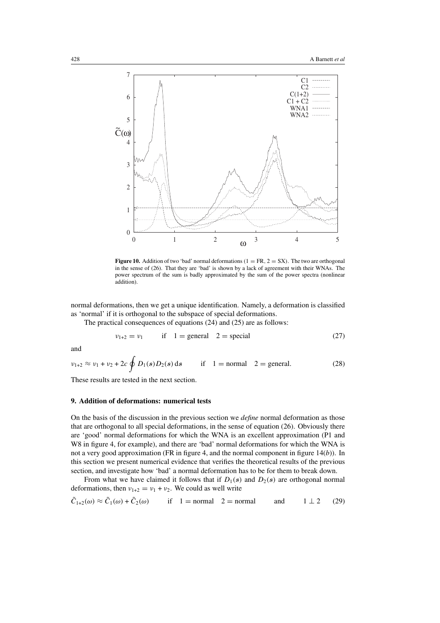

**Figure 10.** Addition of two 'bad' normal deformations ( $1 = FR$ ,  $2 = SX$ ). The two are orthogonal in the sense of (26). That they are 'bad' is shown by a lack of agreement with their WNAs. The power spectrum of the sum is badly approximated by the sum of the power spectra (nonlinear addition).

normal deformations, then we get a unique identification. Namely, a deformation is classified as 'normal' if it is orthogonal to the subspace of special deformations.

The practical consequences of equations (24) and (25) are as follows:

$$
\nu_{1+2} = \nu_1 \qquad \text{if} \quad 1 = \text{general} \quad 2 = \text{special} \tag{27}
$$

and

$$
\nu_{1+2} \approx \nu_1 + \nu_2 + 2c \oint D_1(s) D_2(s) ds
$$
 if 1 = normal 2 = general. (28)

These results are tested in the next section.

#### **9. Addition of deformations: numerical tests**

On the basis of the discussion in the previous section we *define* normal deformation as those that are orthogonal to all special deformations, in the sense of equation (26). Obviously there are 'good' normal deformations for which the WNA is an excellent approximation (P1 and W8 in figure 4, for example), and there are 'bad' normal deformations for which the WNA is not a very good approximation (FR in figure 4, and the normal component in figure 14(*b*)). In this section we present numerical evidence that verifies the theoretical results of the previous section, and investigate how 'bad' a normal deformation has to be for them to break down.

From what we have claimed it follows that if  $D_1(s)$  and  $D_2(s)$  are orthogonal normal deformations, then  $v_{1+2} = v_1 + v_2$ . We could as well write

$$
\tilde{C}_{1+2}(\omega) \approx \tilde{C}_1(\omega) + \tilde{C}_2(\omega)
$$
 if  $1 = \text{normal } 2 = \text{normal }$  and  $1 \perp 2$  (29)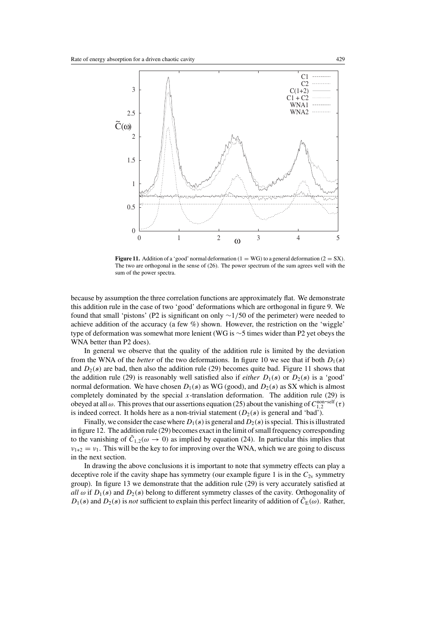

**Figure 11.** Addition of a 'good' normal deformation ( $1 = WG$ ) to a general deformation ( $2 = SX$ ). The two are orthogonal in the sense of (26). The power spectrum of the sum agrees well with the sum of the power spectra.

because by assumption the three correlation functions are approximately flat. We demonstrate this addition rule in the case of two 'good' deformations which are orthogonal in figure 9. We found that small 'pistons' (P2 is significant on only  $\sim$ 1/50 of the perimeter) were needed to achieve addition of the accuracy (a few  $\%$ ) shown. However, the restriction on the 'wiggle' type of deformation was somewhat more lenient (WG is ∼5 times wider than P2 yet obeys the WNA better than P2 does).

In general we observe that the quality of the addition rule is limited by the deviation from the WNA of the *better* of the two deformations. In figure 10 we see that if both  $D_1(s)$ and  $D_2(s)$  are bad, then also the addition rule (29) becomes quite bad. Figure 11 shows that the addition rule (29) is reasonably well satisfied also if *either*  $D_1(s)$  or  $D_2(s)$  is a 'good' normal deformation. We have chosen  $D_1(s)$  as WG (good), and  $D_2(s)$  as SX which is almost completely dominated by the special  $x$ -translation deformation. The addition rule (29) is obeyed at all  $\omega$ . This proves that our assertions equation (25) about the vanishing of  $C_{1,2}^{\text{non-self}}(\tau)$ is indeed correct. It holds here as a non-trivial statement  $(D_2(s)$  is general and 'bad').

Finally, we consider the case where  $D_1(s)$  is general and  $D_2(s)$  is special. This is illustrated in figure 12. The addition rule (29) becomes exact in the limit of small frequency corresponding to the vanishing of  $\tilde{C}_{1,2}(\omega \to 0)$  as implied by equation (24). In particular this implies that  $v_{1+2} = v_1$ . This will be the key to for improving over the WNA, which we are going to discuss in the next section.

In drawing the above conclusions it is important to note that symmetry effects can play a deceptive role if the cavity shape has symmetry (our example figure 1 is in the  $C_{2v}$  symmetry group). In figure 13 we demonstrate that the addition rule (29) is very accurately satisfied at *all*  $\omega$  if  $D_1(s)$  and  $D_2(s)$  belong to different symmetry classes of the cavity. Orthogonality of  $D_1(s)$  and  $D_2(s)$  is *not* sufficient to explain this perfect linearity of addition of  $\tilde{C}_E(\omega)$ . Rather,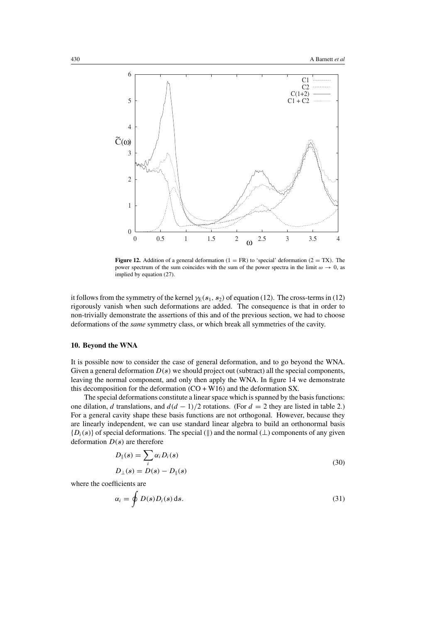

**Figure 12.** Addition of a general deformation  $(1 = FR)$  to 'special' deformation  $(2 = TX)$ . The power spectrum of the sum coincides with the sum of the power spectra in the limit  $\omega \to 0$ , as implied by equation (27).

it follows from the symmetry of the kernel  $\gamma_E(s_1, s_2)$  of equation (12). The cross-terms in (12) rigorously vanish when such deformations are added. The consequence is that in order to non-trivially demonstrate the assertions of this and of the previous section, we had to choose deformations of the *same* symmetry class, or which break all symmetries of the cavity.

#### **10. Beyond the WNA**

It is possible now to consider the case of general deformation, and to go beyond the WNA. Given a general deformation D(*s*) we should project out (subtract) all the special components, leaving the normal component, and only then apply the WNA. In figure 14 we demonstrate this decomposition for the deformation  $(CO + W16)$  and the deformation SX.

The special deformations constitute a linear space which is spanned by the basis functions: one dilation, d translations, and  $d(d - 1)/2$  rotations. (For  $d = 2$  they are listed in table 2.) For a general cavity shape these basis functions are not orthogonal. However, because they are linearly independent, we can use standard linear algebra to build an orthonormal basis  ${D_i(s)}$  of special deformations. The special ( $\parallel$ ) and the normal ( $\perp$ ) components of any given deformation D(*s*) are therefore

$$
D_{\parallel}(s) = \sum_{i} \alpha_i D_i(s)
$$
  

$$
D_{\perp}(s) = D(s) - D_{\parallel}(s)
$$
 (30)

where the coefficients are

$$
\alpha_i = \oint D(s) D_i(s) \, \mathrm{d}s. \tag{31}
$$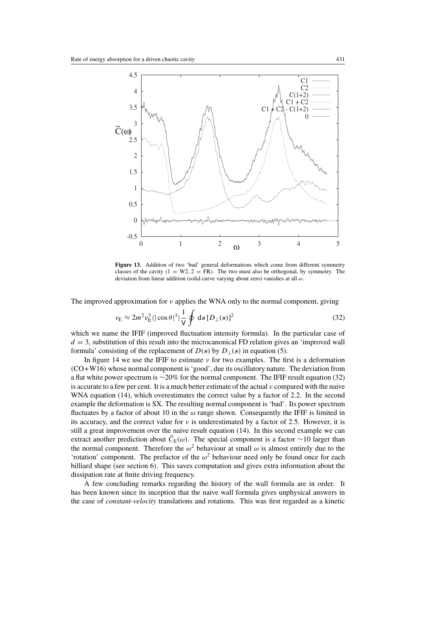

**Figure 13.** Addition of two 'bad' general deformations which come from different symmetry classes of the cavity  $(1 = W2, 2 = FR)$ . The two must also be orthogonal, by symmetry. The deviation from linear addition (solid curve varying about zero) vanishes at all  $\omega$ .

The improved approximation for  $\nu$  applies the WNA only to the normal component, giving

$$
v_{\rm E} \approx 2m^2 v_{\rm E}^3 \langle |\cos \theta|^3 \rangle \frac{1}{V} \oint \, \mathrm{d}s \, [D_\perp(s)]^2 \tag{32}
$$

which we name the IFIF (improved fluctuation intensity formula). In the particular case of  $d = 3$ , substitution of this result into the microcanonical FD relation gives an 'improved wall formula' consisting of the replacement of  $D(s)$  by  $D_{\perp}(s)$  in equation (5).

In figure 14 we use the IFIF to estimate  $\nu$  for two examples. The first is a deformation (CO+W16) whose normal component is'good', due its oscillatory nature. The deviation from a flat white power spectrum is ∼20% for the normal component. The IFIF result equation (32) is accurate to a few per cent. It is a much better estimate of the actual  $\nu$  compared with the naive WNA equation (14), which overestimates the correct value by a factor of 2.2. In the second example the deformation is SX. The resulting normal component is 'bad'. Its power spectrum fluctuates by a factor of about 10 in the  $\omega$  range shown. Consequently the IFIF is limited in its accuracy, and the correct value for  $\nu$  is underestimated by a factor of 2.5. However, it is still a great improvement over the naive result equation (14). In this second example we can extract another prediction about  $\tilde{C}_E(\omega)$ . The special component is a factor ∼10 larger than the normal component. Therefore the  $\omega^2$  behaviour at small  $\omega$  is almost entirely due to the 'rotation' component. The prefactor of the  $\omega^2$  behaviour need only be found once for each billiard shape (see section 6). This saves computation and gives extra information about the dissipation rate at finite driving frequency.

A few concluding remarks regarding the history of the wall formula are in order. It has been known since its inception that the naive wall formula gives unphysical answers in the case of *constant-velocity* translations and rotations. This was first regarded as a kinetic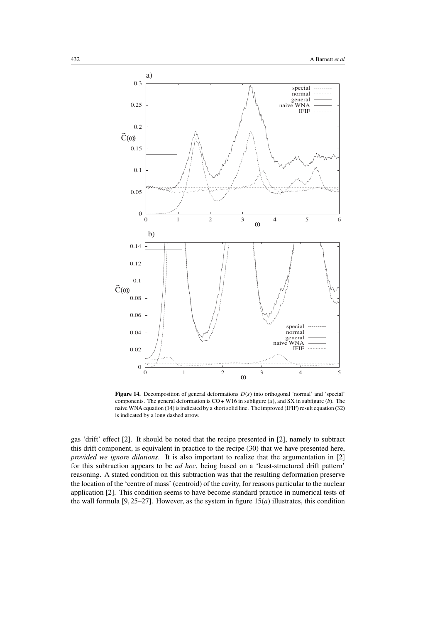

**Figure 14.** Decomposition of general deformations  $D(s)$  into orthogonal 'normal' and 'special' components. The general deformation is  $CO + W16$  in subfigure (*a*), and SX in subfigure (*b*). The naive WNA equation (14) is indicated by a short solid line. The improved (IFIF) result equation (32) is indicated by a long dashed arrow.

gas 'drift' effect [2]. It should be noted that the recipe presented in [2], namely to subtract this drift component, is equivalent in practice to the recipe (30) that we have presented here, *provided we ignore dilations*. It is also important to realize that the argumentation in [2] for this subtraction appears to be *ad hoc*, being based on a 'least-structured drift pattern' reasoning. A stated condition on this subtraction was that the resulting deformation preserve the location of the 'centre of mass' (centroid) of the cavity, for reasons particular to the nuclear application [2]. This condition seems to have become standard practice in numerical tests of the wall formula  $[9, 25-27]$ . However, as the system in figure  $15(a)$  illustrates, this condition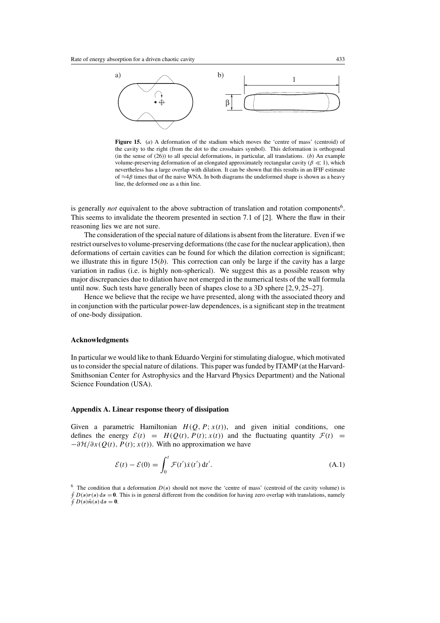

Figure 15. (*a*) A deformation of the stadium which moves the 'centre of mass' (centroid) of the cavity to the right (from the dot to the crosshairs symbol). This deformation is orthogonal (in the sense of (26)) to all special deformations, in particular, all translations. (*b*) An example volume-preserving deformation of an elongated approximately rectangular cavity ( $\beta \ll 1$ ), which nevertheless has a large overlap with dilation. It can be shown that this results in an IFIF estimate of  $\approx$ 4 $\beta$  times that of the naive WNA. In both diagrams the undeformed shape is shown as a heavy line, the deformed one as a thin line.

is generally *not* equivalent to the above subtraction of translation and rotation components<sup>6</sup>. This seems to invalidate the theorem presented in section 7.1 of [2]. Where the flaw in their reasoning lies we are not sure.

The consideration of the special nature of dilations is absent from the literature. Even if we restrict ourselves to volume-preserving deformations (the case for the nuclear application), then deformations of certain cavities can be found for which the dilation correction is significant; we illustrate this in figure 15(*b*). This correction can only be large if the cavity has a large variation in radius (i.e. is highly non-spherical). We suggest this as a possible reason why major discrepancies due to dilation have not emerged in the numerical tests of the wall formula until now. Such tests have generally been of shapes close to a 3D sphere [2, 9, 25–27].

Hence we believe that the recipe we have presented, along with the associated theory and in conjunction with the particular power-law dependences, is a significant step in the treatment of one-body dissipation.

#### **Acknowledgments**

In particular we would like to thank Eduardo Vergini for stimulating dialogue, which motivated us to consider the special nature of dilations. This paper was funded by ITAMP (at the Harvard-Smithsonian Center for Astrophysics and the Harvard Physics Department) and the National Science Foundation (USA).

#### **Appendix A. Linear response theory of dissipation**

Given a parametric Hamiltonian  $H(Q, P; x(t))$ , and given initial conditions, one defines the energy  $\mathcal{E}(t) = H(Q(t), P(t); x(t))$  and the fluctuating quantity  $\mathcal{F}(t) =$  $-\frac{\partial \mathcal{H}}{\partial x}$  (Q(t), P(t); x(t)). With no approximation we have

$$
\mathcal{E}(t) - \mathcal{E}(0) = \int_0^t \mathcal{F}(t') \dot{x}(t') dt'.
$$
\n(A.1)

 $6$  The condition that a deformation  $D(s)$  should not move the 'centre of mass' (centroid of the cavity volume) is  $\oint D(s)r(s) ds = 0$ . This is in general different from the condition for having zero overlap with translations, namely  $\hat{\phi}$   $D(s)\hat{n}(s)$  ds = 0.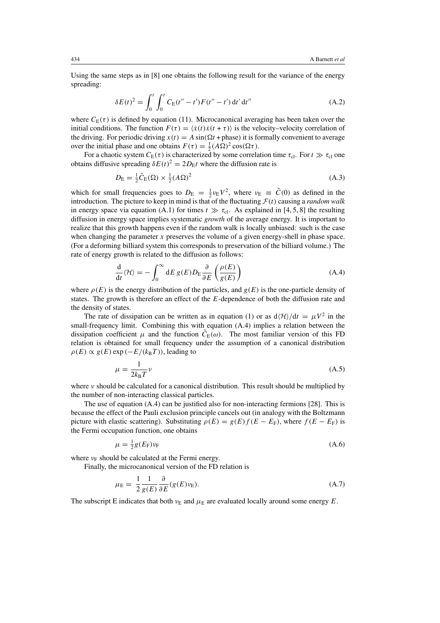Using the same steps as in [8] one obtains the following result for the variance of the energy spreading:

$$
\delta E(t)^2 = \int_0^t \int_0^t C_E(t'' - t') F(t'' - t') dt' dt''
$$
\n(A.2)

where  $C_{E}(\tau)$  is defined by equation (11). Microcanonical averaging has been taken over the initial conditions. The function  $F(\tau) = \langle \dot{x}(t) \dot{x}(t + \tau) \rangle$  is the velocity–velocity correlation of the driving. For periodic driving  $x(t) = A \sin(\Omega t + \text{phase})$  it is formally convenient to average over the initial phase and one obtains  $F(\tau) = \frac{1}{2} (A\Omega)^2 \cos(\Omega \tau)$ .

For a chaotic system  $C_E(\tau)$  is characterized by some correlation time  $\tau_{\text{cl}}$ . For  $t \gg \tau_{\text{cl}}$  one obtains diffusive spreading  $\delta E(t)^2 = 2D_E t$  where the diffusion rate is

$$
D_{\rm E} = \frac{1}{2}\tilde{C}_{\rm E}(\Omega) \times \frac{1}{2}(A\Omega)^2
$$
\n(A.3)

which for small frequencies goes to  $D_{\rm E} = \frac{1}{2} \nu_{\rm E} V^2$ , where  $\nu_{\rm E} \equiv \tilde{C}(0)$  as defined in the introduction. The picture to keep in mind is that of the fluctuating  $\mathcal{F}(t)$  causing a *random walk* in energy space via equation (A.1) for times  $t \gg \tau_{cl}$ . As explained in [4, 5, 8] the resulting diffusion in energy space implies systematic *growth* of the average energy. It is important to realize that this growth happens even if the random walk is locally unbiased: such is the case when changing the parameter x preserves the volume of a given energy-shell in phase space. (For a deforming billiard system this corresponds to preservation of the billiard volume.) The rate of energy growth is related to the diffusion as follows:

$$
\frac{d}{dt}\langle \mathcal{H} \rangle = -\int_0^\infty dE \, g(E) D_E \frac{\partial}{\partial E} \left( \frac{\rho(E)}{g(E)} \right) \tag{A.4}
$$

where  $\rho(E)$  is the energy distribution of the particles, and  $g(E)$  is the one-particle density of states. The growth is therefore an effect of the E-dependence of both the diffusion rate and the density of states.

The rate of dissipation can be written as in equation (1) or as  $d\langle H \rangle/dt = \mu V^2$  in the small-frequency limit. Combining this with equation (A.4) implies a relation between the dissipation coefficient  $\mu$  and the function  $C_E(\omega)$ . The most familiar version of this FD relation is obtained for small frequency under the assumption of a canonical distribution  $\rho(E) \propto g(E) \exp(-E/(k_B T))$ , leading to

$$
\mu = \frac{1}{2k_{\rm B}T} \nu \tag{A.5}
$$

where  $\nu$  should be calculated for a canonical distribution. This result should be multiplied by the number of non-interacting classical particles.

The use of equation (A.4) can be justified also for non-interacting fermions [28]. This is because the effect of the Pauli exclusion principle cancels out (in analogy with the Boltzmann picture with elastic scattering). Substituting  $\rho(E) = g(E) f(E - E_F)$ , where  $f(E - E_F)$  is the Fermi occupation function, one obtains

$$
\mu = \frac{1}{2}g(E_{\rm F})\nu_{\rm F} \tag{A.6}
$$

where  $v_F$  should be calculated at the Fermi energy.

Finally, the microcanonical version of the FD relation is

$$
\mu_{\rm E} = \frac{1}{2} \frac{1}{g(E)} \frac{\partial}{\partial E} (g(E)\nu_{\rm E}). \tag{A.7}
$$

The subscript E indicates that both  $v_{\rm E}$  and  $\mu_{\rm E}$  are evaluated locally around some energy E.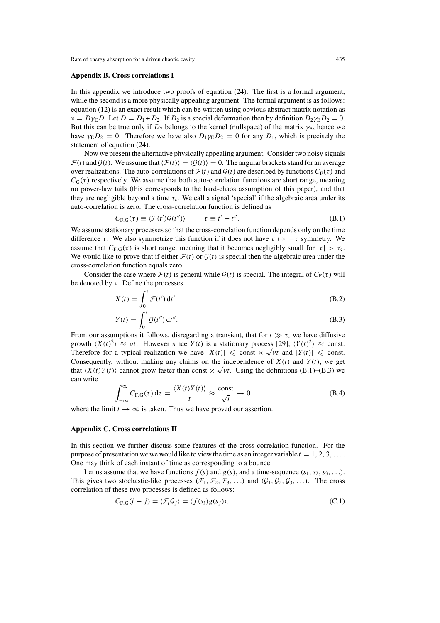## **Appendix B. Cross correlations I**

In this appendix we introduce two proofs of equation (24). The first is a formal argument, while the second is a more physically appealing argument. The formal argument is as follows: equation (12) is an exact result which can be written using obvious abstract matrix notation as  $\nu = D\gamma_E D$ . Let  $D = D_1 + D_2$ . If  $D_2$  is a special deformation then by definition  $D_2\gamma_E D_2 = 0$ . But this can be true only if  $D_2$  belongs to the kernel (nullspace) of the matrix  $\gamma_E$ , hence we have  $\gamma_E D_2 = 0$ . Therefore we have also  $D_1 \gamma_E D_2 = 0$  for any  $D_1$ , which is precisely the statement of equation (24).

Now we present the alternative physically appealing argument. Consider two noisy signals  $\mathcal{F}(t)$  and  $\mathcal{G}(t)$ . We assume that  $\langle \mathcal{F}(t) \rangle = \langle \mathcal{G}(t) \rangle = 0$ . The angular brackets stand for an average over realizations. The auto-correlations of  $\mathcal{F}(t)$  and  $\mathcal{G}(t)$  are described by functions  $C_F(\tau)$  and  $C_G(\tau)$  respectively. We assume that both auto-correlation functions are short range, meaning no power-law tails (this corresponds to the hard-chaos assumption of this paper), and that they are negligible beyond a time  $\tau_c$ . We call a signal 'special' if the algebraic area under its auto-correlation is zero. The cross-correlation function is defined as

$$
C_{F,G}(\tau) \equiv \langle \mathcal{F}(t')\mathcal{G}(t'') \rangle \qquad \tau \equiv t' - t''.
$$
 (B.1)

We assume stationary processes so that the cross-correlation function depends only on the time difference τ. We also symmetrize this function if it does not have  $\tau \mapsto -\tau$  symmetry. We assume that  $C_{F,G}(\tau)$  is short range, meaning that it becomes negligibly small for  $|\tau| > \tau_c$ . We would like to prove that if either  $\mathcal{F}(t)$  or  $\mathcal{G}(t)$  is special then the algebraic area under the cross-correlation function equals zero.

Consider the case where  $\mathcal{F}(t)$  is general while  $\mathcal{G}(t)$  is special. The integral of  $C_F(\tau)$  will be denoted by ν. Define the processes

$$
X(t) = \int_0^t \mathcal{F}(t') dt'
$$
 (B.2)

$$
Y(t) = \int_0^t \mathcal{G}(t'') dt''.
$$
 (B.3)

From our assumptions it follows, disregarding a transient, that for  $t \gg \tau_c$  we have diffusive growth  $\langle X(t)^2 \rangle \approx \nu t$ . However since  $Y(t)$  is a stationary process [29],  $\langle Y(t)^2 \rangle \approx \text{const.}$ Therefore for a typical realization we have  $|X(t)| \leqslant$  const  $\times \sqrt{\nu t}$  and  $|Y(t)| \leqslant$  const. Consequently, without making any claims on the independence of  $X(t)$  and  $Y(t)$ , we get that  $\langle X(t)Y(t) \rangle$  cannot grow faster than const  $\times \sqrt{\nu t}$ . Using the definitions (B.1)–(B.3) we can write

$$
\int_{-\infty}^{\infty} C_{F,G}(\tau) d\tau = \frac{\langle X(t)Y(t) \rangle}{t} \approx \frac{\text{const}}{\sqrt{t}} \to 0
$$
 (B.4)

where the limit  $t \to \infty$  is taken. Thus we have proved our assertion.

#### **Appendix C. Cross correlations II**

In this section we further discuss some features of the cross-correlation function. For the purpose of presentation we we would like to view the time as an integer variable  $t = 1, 2, 3, \ldots$ . One may think of each instant of time as corresponding to a bounce.

Let us assume that we have functions  $f(s)$  and  $g(s)$ , and a time-sequence  $(s_1, s_2, s_3, \ldots)$ . This gives two stochastic-like processes  $(\mathcal{F}_1, \mathcal{F}_2, \mathcal{F}_3, \ldots)$  and  $(\mathcal{G}_1, \mathcal{G}_2, \mathcal{G}_3, \ldots)$ . The cross correlation of these two processes is defined as follows:

$$
C_{F,G}(i-j) = \langle \mathcal{F}_i \mathcal{G}_j \rangle = \langle f(s_i)g(s_j) \rangle. \tag{C.1}
$$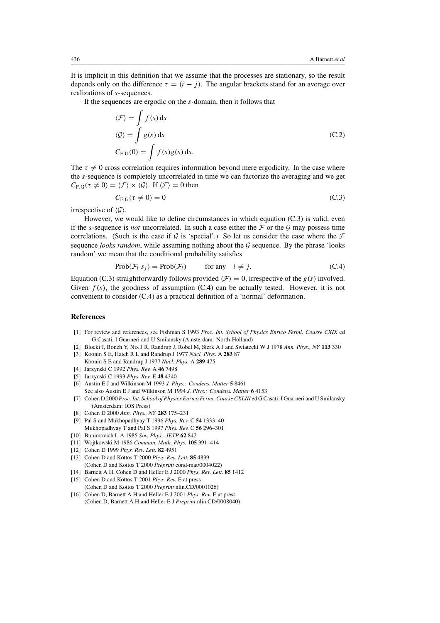It is implicit in this definition that we assume that the processes are stationary, so the result depends only on the difference  $\tau = (i - j)$ . The angular brackets stand for an average over realizations of s-sequences.

If the sequences are ergodic on the s-domain, then it follows that

$$
\langle \mathcal{F} \rangle = \int f(s) \, ds
$$
  

$$
\langle \mathcal{G} \rangle = \int g(s) \, ds
$$
  

$$
C_{F,G}(0) = \int f(s)g(s) \, ds.
$$
 (C.2)

The  $\tau \neq 0$  cross correlation requires information beyond mere ergodicity. In the case where the s-sequence is completely uncorrelated in time we can factorize the averaging and we get  $C_{\text{F,G}}(\tau \neq 0) = \langle \mathcal{F} \rangle \times \langle \mathcal{G} \rangle$ . If  $\langle \mathcal{F} \rangle = 0$  then

$$
C_{F,G}(\tau \neq 0) = 0 \tag{C.3}
$$

irrespective of  $\langle \mathcal{G} \rangle$ .

However, we would like to define circumstances in which equation (C.3) is valid, even if the s-sequence is *not* uncorrelated. In such a case either the  $\mathcal F$  or the  $\mathcal G$  may possess time correlations. (Such is the case if G is 'special'.) So let us consider the case where the  $\mathcal F$ sequence *looks random*, while assuming nothing about the  $G$  sequence. By the phrase 'looks' random' we mean that the conditional probability satisfies

$$
Prob(\mathcal{F}_i|s_j) = Prob(\mathcal{F}_i) \qquad \text{for any} \quad i \neq j. \tag{C.4}
$$

Equation (C.3) straightforwardly follows provided  $\langle F \rangle = 0$ , irrespective of the  $g(s)$  involved. Given  $f(s)$ , the goodness of assumption (C.4) can be actually tested. However, it is not convenient to consider (C.4) as a practical definition of a 'normal' deformation.

## **References**

- [1] For review and references, see Fishman S 1993 *Proc. Int. School of Physics Enrico Fermi, Course CXIX* ed G Casati, I Guarneri and U Smilansky (Amsterdam: North-Holland)
- [2] Blocki J, Boneh Y, Nix J R, Randrup J, Robel M, Sierk A J and Swiatecki W J 1978 *Ann. Phys., NY* **113** 330
- [3] Koonin S E, Hatch R L and Randrup J 1977 *Nucl. Phys.* A **283** 87
- Koonin S E and Randrup J 1977 *Nucl. Phys.* A **289** 475
- [4] Jarzynski C 1992 *Phys. Rev.* A **46** 7498
- [5] Jarzynski C 1993 *Phys. Rev.* E **48** 4340
- [6] Austin E J and Wilkinson M 1993 *J. Phys.: Condens. Matter* **5** 8461 See also Austin E J and Wilkinson M 1994 *J. Phys.: Condens. Matter* **6** 4153
- [7] Cohen D 2000 *Proc. Int. School of Physics Enrico Fermi, Course CXLIII* ed G Casati, I Guarneri and U Smilansky (Amsterdam: IOS Press)
- [8] Cohen D 2000 *Ann. Phys., NY* **283** 175–231
- [9] Pal S and Mukhopadhyay T 1996 *Phys. Rev.* C **54** 1333–40 Mukhopadhyay T and Pal S 1997 *Phys. Rev.* C **56** 296–301
- [10] Bunimovich L A 1985 *Sov. Phys.–JETP* **62** 842
- [11] Wojtkowski M 1986 *Commun. Math. Phys.* **105** 391–414
- [12] Cohen D 1999 *Phys. Rev. Lett.* **82** 4951
- [13] Cohen D and Kottos T 2000 *Phys. Rev. Lett.* **85** 4839 (Cohen D and Kottos T 2000 *Preprint* cond-mat/0004022)
- [14] Barnett A H, Cohen D and Heller E J 2000 *Phys. Rev. Lett.* **85** 1412
- [15] Cohen D and Kottos T 2001 *Phys. Rev.* E at press (Cohen D and Kottos T 2000 *Preprint* nlin.CD/0001026)
- [16] Cohen D, Barnett A H and Heller E J 2001 *Phys. Rev.* E at press
- (Cohen D, Barnett A H and Heller E J *Preprint* nlin.CD/0008040)